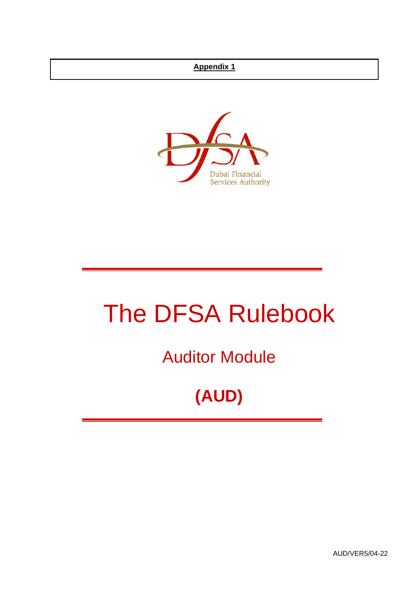## **Appendix 1**



# The DFSA Rulebook

Auditor Module

## **(AUD)**

AUD/VER5/04-22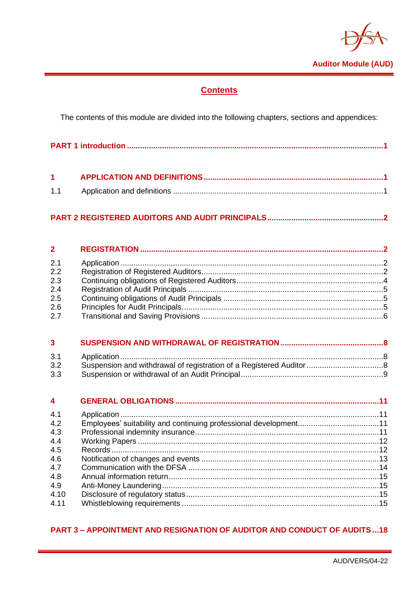

## **Contents**

The contents of this module are divided into the following chapters, sections and appendices:

|--|

## 

#### $\overline{2}$  $21$  $2.2$  $2.3$  $2.4$  $2.5$  $2.6$  $2.7$

| $3 \sim$ |  |  |
|----------|--|--|
|          |  |  |
| 3.2      |  |  |
| 3.3      |  |  |

| $\overline{\mathbf{4}}$ |  |
|-------------------------|--|
| 4.1                     |  |
| 4.2                     |  |
| 4.3                     |  |
| 4.4                     |  |
| 4.5                     |  |
| 4.6                     |  |
| 4.7                     |  |
| 4.8                     |  |
| 4.9                     |  |
| 4.10                    |  |
| 4.11                    |  |

## **PART 3 - APPOINTMENT AND RESIGNATION OF AUDITOR AND CONDUCT OF AUDITS...18**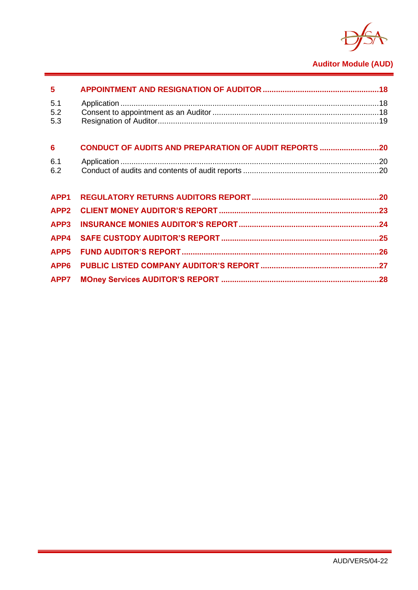

## **Auditor Module (AUD)**

| $5\phantom{1}$    |                                                              |  |
|-------------------|--------------------------------------------------------------|--|
| 5.1<br>5.2<br>5.3 |                                                              |  |
| $6\phantom{1}6$   | <b>CONDUCT OF AUDITS AND PREPARATION OF AUDIT REPORTS 20</b> |  |
| 6.1<br>6.2        |                                                              |  |
| APP <sub>1</sub>  |                                                              |  |
| APP <sub>2</sub>  |                                                              |  |
| APP3              |                                                              |  |
| APP4              |                                                              |  |
| APP <sub>5</sub>  |                                                              |  |
| APP <sub>6</sub>  |                                                              |  |
| APP7              |                                                              |  |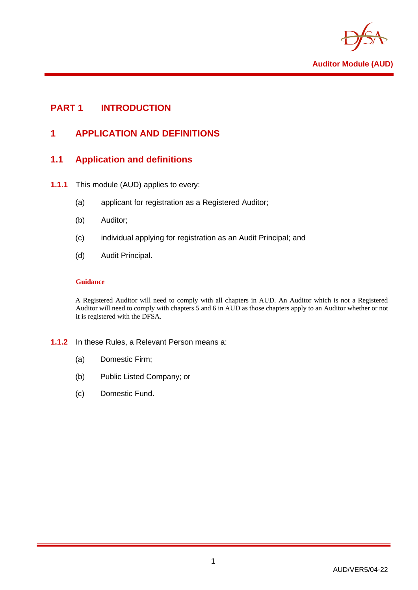

## <span id="page-3-1"></span><span id="page-3-0"></span>**PART 1 INTRODUCTION**

## **1 APPLICATION AND DEFINITIONS**

## <span id="page-3-2"></span>**1.1 Application and definitions**

- **1.1.1** This module (AUD) applies to every:
	- (a) applicant for registration as a Registered Auditor;
	- (b) Auditor;
	- (c) individual applying for registration as an Audit Principal; and
	- (d) Audit Principal.

#### **Guidance**

A Registered Auditor will need to comply with all chapters in AUD. An Auditor which is not a Registered Auditor will need to comply with chapters 5 and 6 in AUD as those chapters apply to an Auditor whether or not it is registered with the DFSA.

#### **1.1.2** In these Rules, a Relevant Person means a:

- (a) Domestic Firm;
- (b) Public Listed Company; or
- (c) Domestic Fund.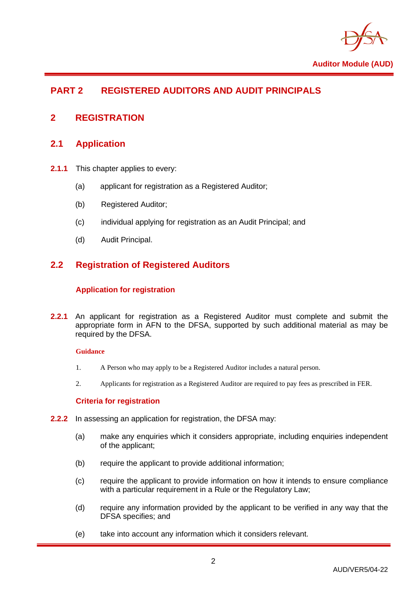

## <span id="page-4-0"></span>**PART 2 REGISTERED AUDITORS AND AUDIT PRINCIPALS**

## <span id="page-4-2"></span><span id="page-4-1"></span>**2 REGISTRATION**

## **2.1 Application**

- **2.1.1** This chapter applies to every:
	- (a) applicant for registration as a Registered Auditor;
	- (b) Registered Auditor;
	- (c) individual applying for registration as an Audit Principal; and
	- (d) Audit Principal.

## <span id="page-4-3"></span>**2.2 Registration of Registered Auditors**

#### **Application for registration**

**2.2.1** An applicant for registration as a Registered Auditor must complete and submit the appropriate form in AFN to the DFSA, supported by such additional material as may be required by the DFSA.

#### **Guidance**

- 1. A Person who may apply to be a Registered Auditor includes a natural person.
- 2. Applicants for registration as a Registered Auditor are required to pay fees as prescribed in FER.

#### **Criteria for registration**

- **2.2.2** In assessing an application for registration, the DFSA may:
	- (a) make any enquiries which it considers appropriate, including enquiries independent of the applicant;
	- (b) require the applicant to provide additional information;
	- (c) require the applicant to provide information on how it intends to ensure compliance with a particular requirement in a Rule or the Regulatory Law:
	- (d) require any information provided by the applicant to be verified in any way that the DFSA specifies; and
	- (e) take into account any information which it considers relevant.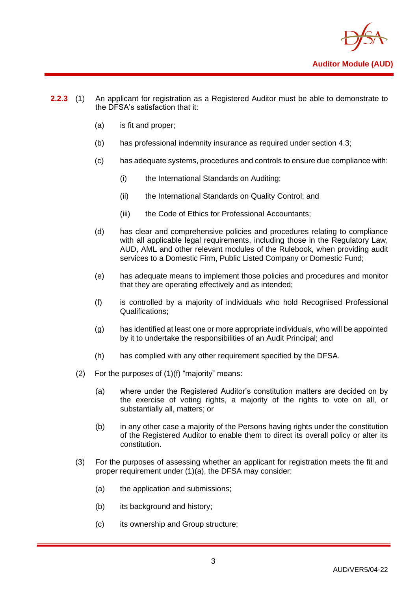

- **2.2.3** (1) An applicant for registration as a Registered Auditor must be able to demonstrate to the DFSA's satisfaction that it:
	- (a) is fit and proper;
	- (b) has professional indemnity insurance as required under section 4.3;
	- (c) has adequate systems, procedures and controls to ensure due compliance with:
		- (i) the International Standards on Auditing;
		- (ii) the International Standards on Quality Control; and
		- (iii) the Code of Ethics for Professional Accountants:
	- (d) has clear and comprehensive policies and procedures relating to compliance with all applicable legal requirements, including those in the Regulatory Law, AUD, AML and other relevant modules of the Rulebook, when providing audit services to a Domestic Firm, Public Listed Company or Domestic Fund;
	- (e) has adequate means to implement those policies and procedures and monitor that they are operating effectively and as intended;
	- (f) is controlled by a majority of individuals who hold Recognised Professional Qualifications;
	- (g) has identified at least one or more appropriate individuals, who will be appointed by it to undertake the responsibilities of an Audit Principal; and
	- (h) has complied with any other requirement specified by the DFSA.
	- (2) For the purposes of (1)(f) "majority" means:
		- (a) where under the Registered Auditor's constitution matters are decided on by the exercise of voting rights, a majority of the rights to vote on all, or substantially all, matters; or
		- (b) in any other case a majority of the Persons having rights under the constitution of the Registered Auditor to enable them to direct its overall policy or alter its constitution.
	- (3) For the purposes of assessing whether an applicant for registration meets the fit and proper requirement under (1)(a), the DFSA may consider:
		- (a) the application and submissions;
		- (b) its background and history;
		- (c) its ownership and Group structure;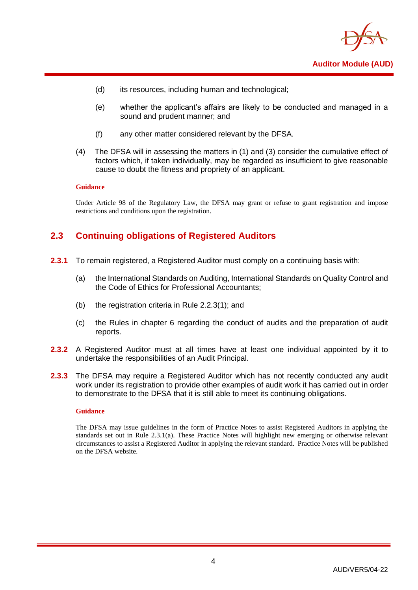

- (d) its resources, including human and technological;
- (e) whether the applicant's affairs are likely to be conducted and managed in a sound and prudent manner; and
- (f) any other matter considered relevant by the DFSA.
- (4) The DFSA will in assessing the matters in (1) and (3) consider the cumulative effect of factors which, if taken individually, may be regarded as insufficient to give reasonable cause to doubt the fitness and propriety of an applicant.

#### **Guidance**

Under Article 98 of the Regulatory Law, the DFSA may grant or refuse to grant registration and impose restrictions and conditions upon the registration.

## <span id="page-6-0"></span>**2.3 Continuing obligations of Registered Auditors**

- **2.3.1** To remain registered, a Registered Auditor must comply on a continuing basis with:
	- (a) the International Standards on Auditing, International Standards on Quality Control and the Code of Ethics for Professional Accountants;
	- (b) the registration criteria in Rule 2.2.3(1); and
	- (c) the Rules in chapter 6 regarding the conduct of audits and the preparation of audit reports.
- **2.3.2** A Registered Auditor must at all times have at least one individual appointed by it to undertake the responsibilities of an Audit Principal.
- **2.3.3** The DFSA may require a Registered Auditor which has not recently conducted any audit work under its registration to provide other examples of audit work it has carried out in order to demonstrate to the DFSA that it is still able to meet its continuing obligations.

#### **Guidance**

The DFSA may issue guidelines in the form of Practice Notes to assist Registered Auditors in applying the standards set out in Rule 2.3.1(a). These Practice Notes will highlight new emerging or otherwise relevant circumstances to assist a Registered Auditor in applying the relevant standard. Practice Notes will be published on the DFSA website.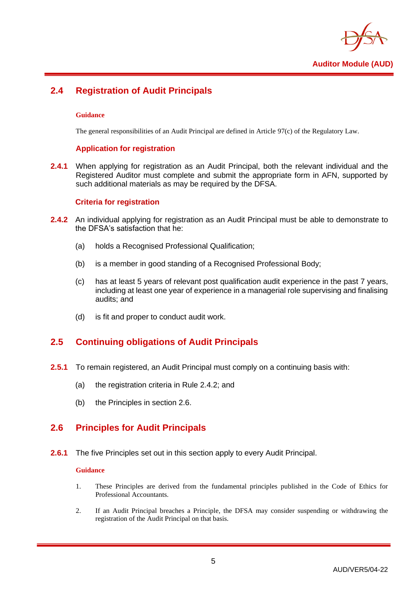

## <span id="page-7-0"></span>**2.4 Registration of Audit Principals**

#### **Guidance**

The general responsibilities of an Audit Principal are defined in Article 97(c) of the Regulatory Law.

#### **Application for registration**

**2.4.1** When applying for registration as an Audit Principal, both the relevant individual and the Registered Auditor must complete and submit the appropriate form in AFN, supported by such additional materials as may be required by the DFSA.

#### **Criteria for registration**

- **2.4.2** An individual applying for registration as an Audit Principal must be able to demonstrate to the DFSA's satisfaction that he:
	- (a) holds a Recognised Professional Qualification;
	- (b) is a member in good standing of a Recognised Professional Body;
	- (c) has at least 5 years of relevant post qualification audit experience in the past 7 years, including at least one year of experience in a managerial role supervising and finalising audits; and
	- (d) is fit and proper to conduct audit work.

## <span id="page-7-1"></span>**2.5 Continuing obligations of Audit Principals**

- **2.5.1** To remain registered, an Audit Principal must comply on a continuing basis with:
	- (a) the registration criteria in Rule 2.4.2; and
	- (b) the Principles in section 2.6.

## <span id="page-7-2"></span>**2.6 Principles for Audit Principals**

**2.6.1** The five Principles set out in this section apply to every Audit Principal.

#### **Guidance**

- 1. These Principles are derived from the fundamental principles published in the Code of Ethics for Professional Accountants.
- 2. If an Audit Principal breaches a Principle, the DFSA may consider suspending or withdrawing the registration of the Audit Principal on that basis.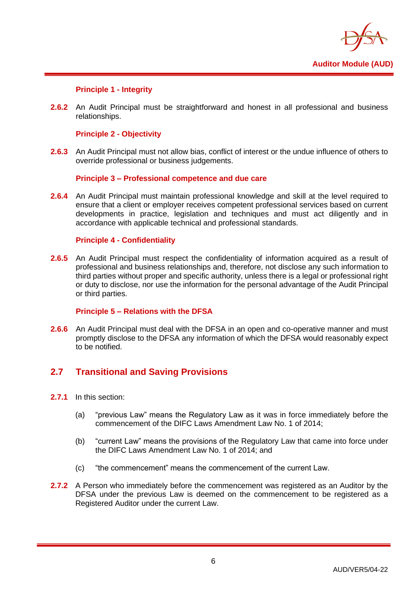

#### **Principle 1 - Integrity**

**2.6.2** An Audit Principal must be straightforward and honest in all professional and business relationships.

#### **Principle 2 - Objectivity**

**2.6.3** An Audit Principal must not allow bias, conflict of interest or the undue influence of others to override professional or business judgements.

#### **Principle 3 – Professional competence and due care**

**2.6.4** An Audit Principal must maintain professional knowledge and skill at the level required to ensure that a client or employer receives competent professional services based on current developments in practice, legislation and techniques and must act diligently and in accordance with applicable technical and professional standards.

#### **Principle 4 - Confidentiality**

**2.6.5** An Audit Principal must respect the confidentiality of information acquired as a result of professional and business relationships and, therefore, not disclose any such information to third parties without proper and specific authority, unless there is a legal or professional right or duty to disclose, nor use the information for the personal advantage of the Audit Principal or third parties.

#### **Principle 5 – Relations with the DFSA**

**2.6.6** An Audit Principal must deal with the DFSA in an open and co-operative manner and must promptly disclose to the DFSA any information of which the DFSA would reasonably expect to be notified.

## <span id="page-8-0"></span>**2.7 Transitional and Saving Provisions**

- **2.7.1** In this section:
	- (a) "previous Law" means the Regulatory Law as it was in force immediately before the commencement of the DIFC Laws Amendment Law No. 1 of 2014;
	- (b) "current Law" means the provisions of the Regulatory Law that came into force under the DIFC Laws Amendment Law No. 1 of 2014; and
	- (c) "the commencement" means the commencement of the current Law.
- **2.7.2** A Person who immediately before the commencement was registered as an Auditor by the DFSA under the previous Law is deemed on the commencement to be registered as a Registered Auditor under the current Law.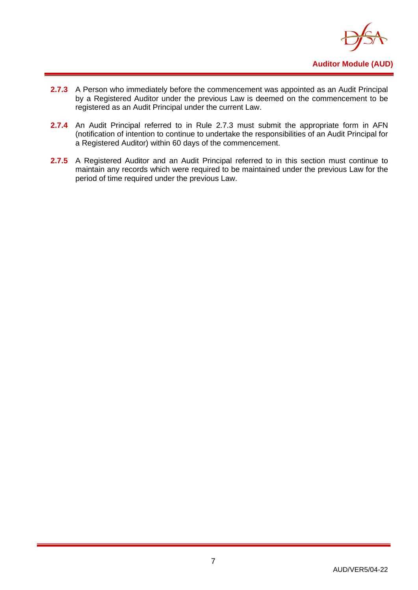

- **2.7.3** A Person who immediately before the commencement was appointed as an Audit Principal by a Registered Auditor under the previous Law is deemed on the commencement to be registered as an Audit Principal under the current Law.
- 2.7.4 An Audit Principal referred to in Rule 2.7.3 must submit the appropriate form in AFN (notification of intention to continue to undertake the responsibilities of an Audit Principal for a Registered Auditor) within 60 days of the commencement.
- 2.7.5 A Registered Auditor and an Audit Principal referred to in this section must continue to maintain any records which were required to be maintained under the previous Law for the period of time required under the previous Law.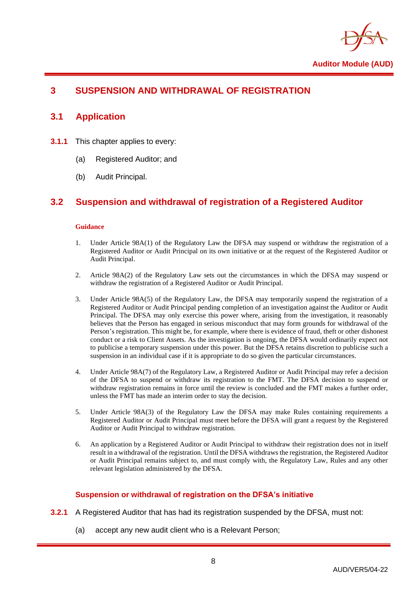

## <span id="page-10-1"></span><span id="page-10-0"></span>**3 SUSPENSION AND WITHDRAWAL OF REGISTRATION**

## **3.1 Application**

- **3.1.1** This chapter applies to every:
	- (a) Registered Auditor; and
	- (b) Audit Principal.

## <span id="page-10-2"></span>**3.2 Suspension and withdrawal of registration of a Registered Auditor**

#### **Guidance**

- 1. Under Article 98A(1) of the Regulatory Law the DFSA may suspend or withdraw the registration of a Registered Auditor or Audit Principal on its own initiative or at the request of the Registered Auditor or Audit Principal.
- 2. Article 98A(2) of the Regulatory Law sets out the circumstances in which the DFSA may suspend or withdraw the registration of a Registered Auditor or Audit Principal.
- 3. Under Article 98A(5) of the Regulatory Law, the DFSA may temporarily suspend the registration of a Registered Auditor or Audit Principal pending completion of an investigation against the Auditor or Audit Principal. The DFSA may only exercise this power where, arising from the investigation, it reasonably believes that the Person has engaged in serious misconduct that may form grounds for withdrawal of the Person's registration. This might be, for example, where there is evidence of fraud, theft or other dishonest conduct or a risk to Client Assets. As the investigation is ongoing, the DFSA would ordinarily expect not to publicise a temporary suspension under this power. But the DFSA retains discretion to publicise such a suspension in an individual case if it is appropriate to do so given the particular circumstances.
- 4. Under Article 98A(7) of the Regulatory Law, a Registered Auditor or Audit Principal may refer a decision of the DFSA to suspend or withdraw its registration to the FMT. The DFSA decision to suspend or withdraw registration remains in force until the review is concluded and the FMT makes a further order, unless the FMT has made an interim order to stay the decision.
- 5. Under Article 98A(3) of the Regulatory Law the DFSA may make Rules containing requirements a Registered Auditor or Audit Principal must meet before the DFSA will grant a request by the Registered Auditor or Audit Principal to withdraw registration.
- 6. An application by a Registered Auditor or Audit Principal to withdraw their registration does not in itself result in a withdrawal of the registration. Until the DFSA withdraws the registration, the Registered Auditor or Audit Principal remains subject to, and must comply with, the Regulatory Law, Rules and any other relevant legislation administered by the DFSA.

#### **Suspension or withdrawal of registration on the DFSA's initiative**

- **3.2.1** A Registered Auditor that has had its registration suspended by the DFSA, must not:
	- (a) accept any new audit client who is a Relevant Person;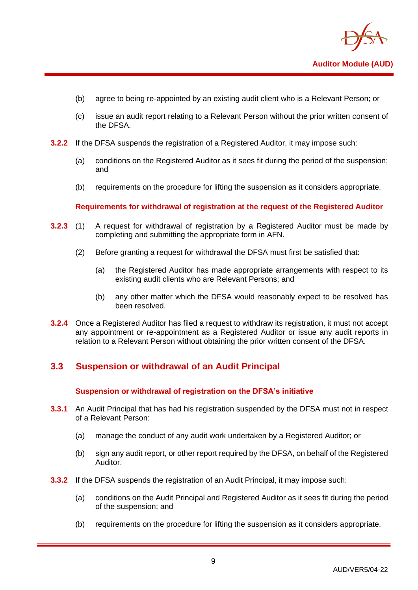

- (b) agree to being re-appointed by an existing audit client who is a Relevant Person; or
- (c) issue an audit report relating to a Relevant Person without the prior written consent of the DFSA.
- **3.2.2** If the DFSA suspends the registration of a Registered Auditor, it may impose such:
	- (a) conditions on the Registered Auditor as it sees fit during the period of the suspension; and
	- (b) requirements on the procedure for lifting the suspension as it considers appropriate.

**Requirements for withdrawal of registration at the request of the Registered Auditor**

- **3.2.3** (1) A request for withdrawal of registration by a Registered Auditor must be made by completing and submitting the appropriate form in AFN.
	- (2) Before granting a request for withdrawal the DFSA must first be satisfied that:
		- (a) the Registered Auditor has made appropriate arrangements with respect to its existing audit clients who are Relevant Persons; and
		- (b) any other matter which the DFSA would reasonably expect to be resolved has been resolved.
- **3.2.4** Once a Registered Auditor has filed a request to withdraw its registration, it must not accept any appointment or re-appointment as a Registered Auditor or issue any audit reports in relation to a Relevant Person without obtaining the prior written consent of the DFSA.

## <span id="page-11-0"></span>**3.3 Suspension or withdrawal of an Audit Principal**

#### **Suspension or withdrawal of registration on the DFSA's initiative**

- **3.3.1** An Audit Principal that has had his registration suspended by the DFSA must not in respect of a Relevant Person:
	- (a) manage the conduct of any audit work undertaken by a Registered Auditor; or
	- (b) sign any audit report, or other report required by the DFSA, on behalf of the Registered Auditor.
- **3.3.2** If the DFSA suspends the registration of an Audit Principal, it may impose such:
	- (a) conditions on the Audit Principal and Registered Auditor as it sees fit during the period of the suspension; and
	- (b) requirements on the procedure for lifting the suspension as it considers appropriate.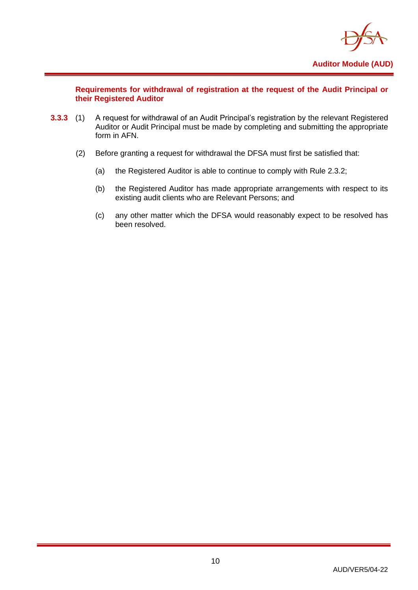

**Requirements for withdrawal of registration at the request of the Audit Principal or their Registered Auditor**

- **3.3.3** (1) A request for withdrawal of an Audit Principal's registration by the relevant Registered Auditor or Audit Principal must be made by completing and submitting the appropriate form in AFN.
	- (2) Before granting a request for withdrawal the DFSA must first be satisfied that:
		- (a) the Registered Auditor is able to continue to comply with Rule 2.3.2;
		- (b) the Registered Auditor has made appropriate arrangements with respect to its existing audit clients who are Relevant Persons; and
		- (c) any other matter which the DFSA would reasonably expect to be resolved has been resolved.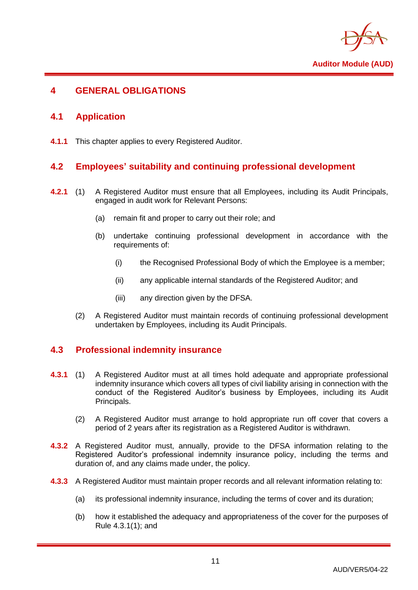

## <span id="page-13-1"></span><span id="page-13-0"></span>**4 GENERAL OBLIGATIONS**

## **4.1 Application**

<span id="page-13-2"></span>**4.1.1** This chapter applies to every Registered Auditor.

## **4.2 Employees' suitability and continuing professional development**

- **4.2.1** (1) A Registered Auditor must ensure that all Employees, including its Audit Principals, engaged in audit work for Relevant Persons:
	- (a) remain fit and proper to carry out their role; and
	- (b) undertake continuing professional development in accordance with the requirements of:
		- (i) the Recognised Professional Body of which the Employee is a member;
		- (ii) any applicable internal standards of the Registered Auditor; and
		- (iii) any direction given by the DFSA.
	- (2) A Registered Auditor must maintain records of continuing professional development undertaken by Employees, including its Audit Principals.

## <span id="page-13-3"></span>**4.3 Professional indemnity insurance**

- **4.3.1** (1) A Registered Auditor must at all times hold adequate and appropriate professional indemnity insurance which covers all types of civil liability arising in connection with the conduct of the Registered Auditor's business by Employees, including its Audit Principals.
	- (2) A Registered Auditor must arrange to hold appropriate run off cover that covers a period of 2 years after its registration as a Registered Auditor is withdrawn.
- **4.3.2** A Registered Auditor must, annually, provide to the DFSA information relating to the Registered Auditor's professional indemnity insurance policy, including the terms and duration of, and any claims made under, the policy.
- **4.3.3** A Registered Auditor must maintain proper records and all relevant information relating to:
	- (a) its professional indemnity insurance, including the terms of cover and its duration;
	- (b) how it established the adequacy and appropriateness of the cover for the purposes of Rule 4.3.1(1); and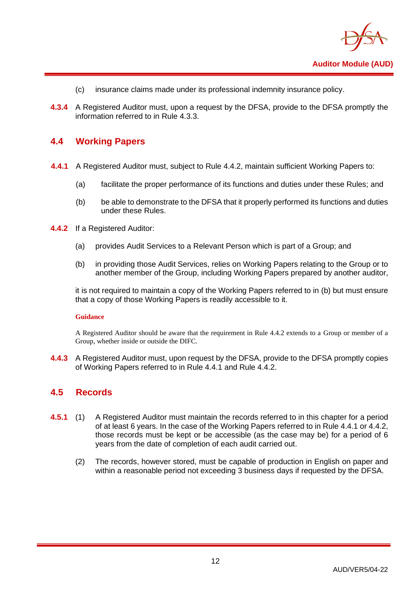

- (c) insurance claims made under its professional indemnity insurance policy.
- **4.3.4** A Registered Auditor must, upon a request by the DFSA, provide to the DFSA promptly the information referred to in Rule 4.3.3.

## <span id="page-14-0"></span>**4.4 Working Papers**

- **4.4.1** A Registered Auditor must, subject to Rule 4.4.2, maintain sufficient Working Papers to:
	- (a) facilitate the proper performance of its functions and duties under these Rules; and
	- (b) be able to demonstrate to the DFSA that it properly performed its functions and duties under these Rules.
- **4.4.2** If a Registered Auditor:
	- (a) provides Audit Services to a Relevant Person which is part of a Group; and
	- (b) in providing those Audit Services, relies on Working Papers relating to the Group or to another member of the Group, including Working Papers prepared by another auditor,

it is not required to maintain a copy of the Working Papers referred to in (b) but must ensure that a copy of those Working Papers is readily accessible to it.

#### **Guidance**

A Registered Auditor should be aware that the requirement in Rule 4.4.2 extends to a Group or member of a Group, whether inside or outside the DIFC.

**4.4.3** A Registered Auditor must, upon request by the DFSA, provide to the DFSA promptly copies of Working Papers referred to in Rule 4.4.1 and Rule 4.4.2.

## <span id="page-14-1"></span>**4.5 Records**

- **4.5.1** (1) A Registered Auditor must maintain the records referred to in this chapter for a period of at least 6 years. In the case of the Working Papers referred to in Rule 4.4.1 or 4.4.2, those records must be kept or be accessible (as the case may be) for a period of 6 years from the date of completion of each audit carried out.
	- (2) The records, however stored, must be capable of production in English on paper and within a reasonable period not exceeding 3 business days if requested by the DFSA.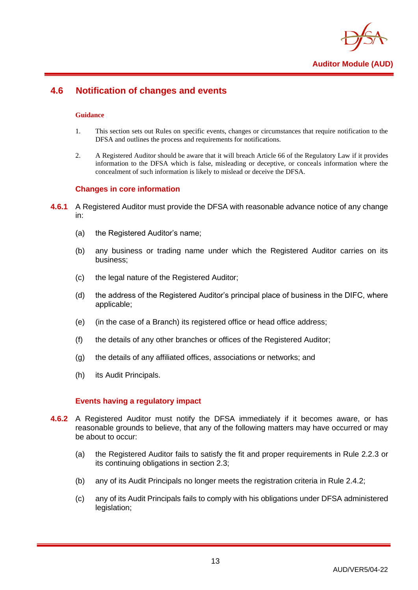

## <span id="page-15-0"></span>**4.6 Notification of changes and events**

#### **Guidance**

- 1. This section sets out Rules on specific events, changes or circumstances that require notification to the DFSA and outlines the process and requirements for notifications.
- 2. A Registered Auditor should be aware that it will breach Article 66 of the Regulatory Law if it provides information to the DFSA which is false, misleading or deceptive, or conceals information where the concealment of such information is likely to mislead or deceive the DFSA.

#### **Changes in core information**

- **4.6.1** A Registered Auditor must provide the DFSA with reasonable advance notice of any change in:
	- (a) the Registered Auditor's name;
	- (b) any business or trading name under which the Registered Auditor carries on its business;
	- (c) the legal nature of the Registered Auditor;
	- (d) the address of the Registered Auditor's principal place of business in the DIFC, where applicable;
	- (e) (in the case of a Branch) its registered office or head office address;
	- (f) the details of any other branches or offices of the Registered Auditor;
	- (g) the details of any affiliated offices, associations or networks; and
	- (h) its Audit Principals.

#### **Events having a regulatory impact**

- **4.6.2** A Registered Auditor must notify the DFSA immediately if it becomes aware, or has reasonable grounds to believe, that any of the following matters may have occurred or may be about to occur:
	- (a) the Registered Auditor fails to satisfy the fit and proper requirements in Rule 2.2.3 or its continuing obligations in section 2.3;
	- (b) any of its Audit Principals no longer meets the registration criteria in Rule 2.4.2;
	- (c) any of its Audit Principals fails to comply with his obligations under DFSA administered legislation;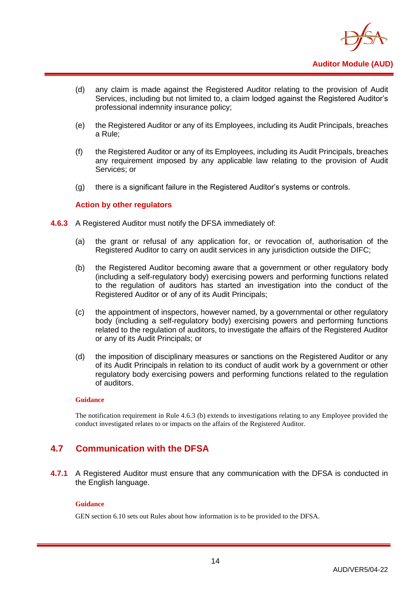

- (d) any claim is made against the Registered Auditor relating to the provision of Audit Services, including but not limited to, a claim lodged against the Registered Auditor's professional indemnity insurance policy;
- (e) the Registered Auditor or any of its Employees, including its Audit Principals, breaches a Rule;
- (f) the Registered Auditor or any of its Employees, including its Audit Principals, breaches any requirement imposed by any applicable law relating to the provision of Audit Services; or
- (g) there is a significant failure in the Registered Auditor's systems or controls.

#### **Action by other regulators**

- **4.6.3** A Registered Auditor must notify the DFSA immediately of:
	- (a) the grant or refusal of any application for, or revocation of, authorisation of the Registered Auditor to carry on audit services in any jurisdiction outside the DIFC;
	- (b) the Registered Auditor becoming aware that a government or other regulatory body (including a self-regulatory body) exercising powers and performing functions related to the regulation of auditors has started an investigation into the conduct of the Registered Auditor or of any of its Audit Principals;
	- (c) the appointment of inspectors, however named, by a governmental or other regulatory body (including a self-regulatory body) exercising powers and performing functions related to the regulation of auditors, to investigate the affairs of the Registered Auditor or any of its Audit Principals; or
	- (d) the imposition of disciplinary measures or sanctions on the Registered Auditor or any of its Audit Principals in relation to its conduct of audit work by a government or other regulatory body exercising powers and performing functions related to the regulation of auditors.

#### **Guidance**

The notification requirement in Rule 4.6.3 (b) extends to investigations relating to any Employee provided the conduct investigated relates to or impacts on the affairs of the Registered Auditor.

## <span id="page-16-0"></span>**4.7 Communication with the DFSA**

**4.7.1** A Registered Auditor must ensure that any communication with the DFSA is conducted in the English language.

#### **Guidance**

GEN section 6.10 sets out Rules about how information is to be provided to the DFSA.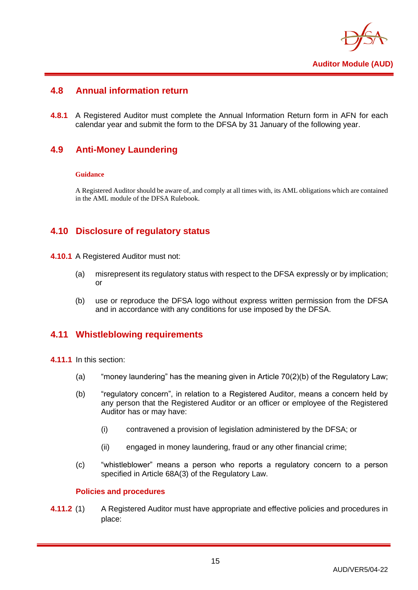

## <span id="page-17-0"></span>**4.8 Annual information return**

**4.8.1** A Registered Auditor must complete the Annual Information Return form in AFN for each calendar year and submit the form to the DFSA by 31 January of the following year.

## <span id="page-17-1"></span>**4.9 Anti-Money Laundering**

#### **Guidance**

A Registered Auditor should be aware of, and comply at all times with, its AML obligations which are contained in the AML module of the DFSA Rulebook.

## <span id="page-17-2"></span>**4.10 Disclosure of regulatory status**

- **4.10.1** A Registered Auditor must not:
	- (a) misrepresent its regulatory status with respect to the DFSA expressly or by implication; or
	- (b) use or reproduce the DFSA logo without express written permission from the DFSA and in accordance with any conditions for use imposed by the DFSA.

## <span id="page-17-3"></span>**4.11 Whistleblowing requirements**

**4.11.1** In this section:

- (a) "money laundering" has the meaning given in Article 70(2)(b) of the Regulatory Law;
- (b) "regulatory concern", in relation to a Registered Auditor, means a concern held by any person that the Registered Auditor or an officer or employee of the Registered Auditor has or may have:
	- (i) contravened a provision of legislation administered by the DFSA; or
	- (ii) engaged in money laundering, fraud or any other financial crime;
- (c) "whistleblower" means a person who reports a regulatory concern to a person specified in Article 68A(3) of the Regulatory Law.

#### **Policies and procedures**

**4.11.2** (1) A Registered Auditor must have appropriate and effective policies and procedures in place: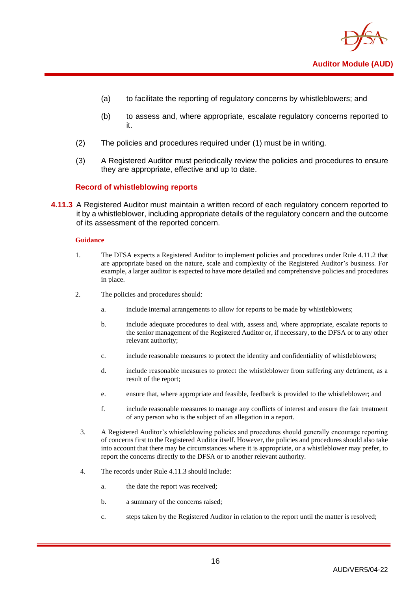

- (a) to facilitate the reporting of regulatory concerns by whistleblowers; and
- (b) to assess and, where appropriate, escalate regulatory concerns reported to it.
- (2) The policies and procedures required under (1) must be in writing.
- (3) A Registered Auditor must periodically review the policies and procedures to ensure they are appropriate, effective and up to date.

#### **Record of whistleblowing reports**

**4.11.3** A Registered Auditor must maintain a written record of each regulatory concern reported to it by a whistleblower, including appropriate details of the regulatory concern and the outcome of its assessment of the reported concern.

#### **Guidance**

- 1. The DFSA expects a Registered Auditor to implement policies and procedures under Rule 4.11.2 that are appropriate based on the nature, scale and complexity of the Registered Auditor's business. For example, a larger auditor is expected to have more detailed and comprehensive policies and procedures in place.
- 2. The policies and procedures should:
	- a. include internal arrangements to allow for reports to be made by whistleblowers;
	- b. include adequate procedures to deal with, assess and, where appropriate, escalate reports to the senior management of the Registered Auditor or, if necessary, to the DFSA or to any other relevant authority;
	- c. include reasonable measures to protect the identity and confidentiality of whistleblowers;
	- d. include reasonable measures to protect the whistleblower from suffering any detriment, as a result of the report;
	- e. ensure that, where appropriate and feasible, feedback is provided to the whistleblower; and
	- f. include reasonable measures to manage any conflicts of interest and ensure the fair treatment of any person who is the subject of an allegation in a report.
- 3. A Registered Auditor's whistleblowing policies and procedures should generally encourage reporting of concerns first to the Registered Auditor itself. However, the policies and procedures should also take into account that there may be circumstances where it is appropriate, or a whistleblower may prefer, to report the concerns directly to the DFSA or to another relevant authority.
- 4. The records under Rule 4.11.3 should include:
	- a. the date the report was received;
	- b. a summary of the concerns raised;
	- c. steps taken by the Registered Auditor in relation to the report until the matter is resolved;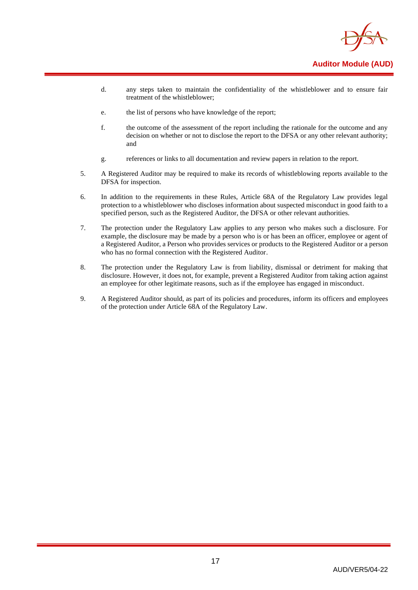

- d. any steps taken to maintain the confidentiality of the whistleblower and to ensure fair treatment of the whistleblower;
- e. the list of persons who have knowledge of the report;
- f. the outcome of the assessment of the report including the rationale for the outcome and any decision on whether or not to disclose the report to the DFSA or any other relevant authority; and
- g. references or links to all documentation and review papers in relation to the report.
- 5. A Registered Auditor may be required to make its records of whistleblowing reports available to the DFSA for inspection.
- 6. In addition to the requirements in these Rules, Article 68A of the Regulatory Law provides legal protection to a whistleblower who discloses information about suspected misconduct in good faith to a specified person, such as the Registered Auditor, the DFSA or other relevant authorities.
- 7. The protection under the Regulatory Law applies to any person who makes such a disclosure. For example, the disclosure may be made by a person who is or has been an officer, employee or agent of a Registered Auditor, a Person who provides services or products to the Registered Auditor or a person who has no formal connection with the Registered Auditor.
- 8. The protection under the Regulatory Law is from liability, dismissal or detriment for making that disclosure. However, it does not, for example, prevent a Registered Auditor from taking action against an employee for other legitimate reasons, such as if the employee has engaged in misconduct.
- 9. A Registered Auditor should, as part of its policies and procedures, inform its officers and employees of the protection under Article 68A of the Regulatory Law.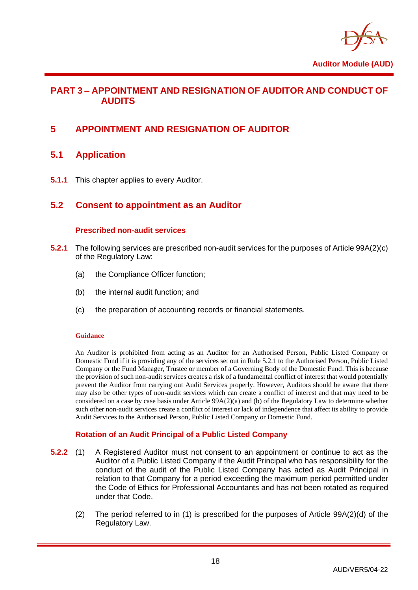

## <span id="page-20-0"></span>**PART 3 – APPOINTMENT AND RESIGNATION OF AUDITOR AND CONDUCT OF AUDITS**

## <span id="page-20-2"></span><span id="page-20-1"></span>**5 APPOINTMENT AND RESIGNATION OF AUDITOR**

## **5.1 Application**

<span id="page-20-3"></span>**5.1.1** This chapter applies to every Auditor.

## **5.2 Consent to appointment as an Auditor**

#### **Prescribed non-audit services**

- **5.2.1** The following services are prescribed non-audit services for the purposes of Article 99A(2)(c) of the Regulatory Law:
	- (a) the Compliance Officer function;
	- (b) the internal audit function; and
	- (c) the preparation of accounting records or financial statements.

#### **Guidance**

An Auditor is prohibited from acting as an Auditor for an Authorised Person, Public Listed Company or Domestic Fund if it is providing any of the services set out in Rule 5.2.1 to the Authorised Person, Public Listed Company or the Fund Manager, Trustee or member of a Governing Body of the Domestic Fund. This is because the provision of such non-audit services creates a risk of a fundamental conflict of interest that would potentially prevent the Auditor from carrying out Audit Services properly. However, Auditors should be aware that there may also be other types of non-audit services which can create a conflict of interest and that may need to be considered on a case by case basis under Article 99A(2)(a) and (b) of the Regulatory Law to determine whether such other non-audit services create a conflict of interest or lack of independence that affect its ability to provide Audit Services to the Authorised Person, Public Listed Company or Domestic Fund.

#### **Rotation of an Audit Principal of a Public Listed Company**

- **5.2.2** (1) A Registered Auditor must not consent to an appointment or continue to act as the Auditor of a Public Listed Company if the Audit Principal who has responsibility for the conduct of the audit of the Public Listed Company has acted as Audit Principal in relation to that Company for a period exceeding the maximum period permitted under the Code of Ethics for Professional Accountants and has not been rotated as required under that Code.
	- (2) The period referred to in (1) is prescribed for the purposes of Article 99A(2)(d) of the Regulatory Law.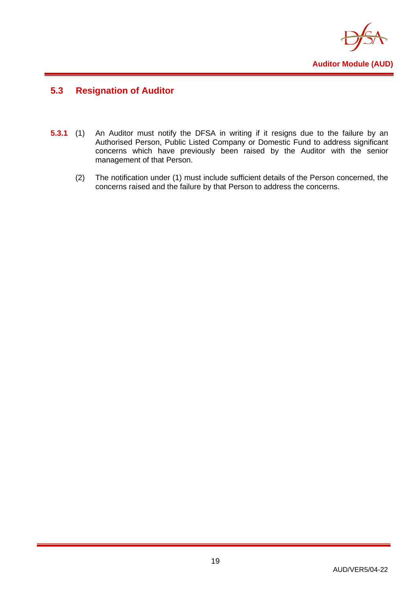

## <span id="page-21-0"></span>**5.3 Resignation of Auditor**

- **5.3.1** (1) An Auditor must notify the DFSA in writing if it resigns due to the failure by an Authorised Person, Public Listed Company or Domestic Fund to address significant concerns which have previously been raised by the Auditor with the senior management of that Person.
	- (2) The notification under (1) must include sufficient details of the Person concerned, the concerns raised and the failure by that Person to address the concerns.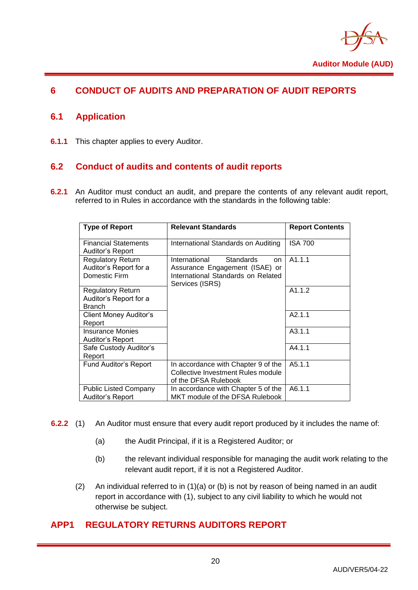

## <span id="page-22-1"></span><span id="page-22-0"></span>**6 CONDUCT OF AUDITS AND PREPARATION OF AUDIT REPORTS**

## **6.1 Application**

<span id="page-22-2"></span>**6.1.1** This chapter applies to every Auditor.

## **6.2 Conduct of audits and contents of audit reports**

**6.2.1** An Auditor must conduct an audit, and prepare the contents of any relevant audit report, referred to in Rules in accordance with the standards in the following table:

| <b>Type of Report</b>                                               | <b>Relevant Standards</b>                                                                                                          | <b>Report Contents</b> |
|---------------------------------------------------------------------|------------------------------------------------------------------------------------------------------------------------------------|------------------------|
| <b>Financial Statements</b><br>Auditor's Report                     | International Standards on Auditing                                                                                                | <b>ISA 700</b>         |
| <b>Regulatory Return</b><br>Auditor's Report for a<br>Domestic Firm | International<br><b>Standards</b><br>on<br>Assurance Engagement (ISAE) or<br>International Standards on Related<br>Services (ISRS) | A1.1.1                 |
| <b>Regulatory Return</b><br>Auditor's Report for a<br><b>Branch</b> |                                                                                                                                    | A1.1.2                 |
| Client Money Auditor's<br>Report                                    |                                                                                                                                    | A2.1.1                 |
| Insurance Monies<br>Auditor's Report                                |                                                                                                                                    | A3.1.1                 |
| Safe Custody Auditor's<br>Report                                    |                                                                                                                                    | A4.1.1                 |
| <b>Fund Auditor's Report</b>                                        | In accordance with Chapter 9 of the<br>Collective Investment Rules module<br>of the DFSA Rulebook                                  | A5.1.1                 |
| <b>Public Listed Company</b><br>Auditor's Report                    | In accordance with Chapter 5 of the<br>MKT module of the DFSA Rulebook                                                             | A6.1.1                 |

- **6.2.2** (1) An Auditor must ensure that every audit report produced by it includes the name of:
	- (a) the Audit Principal, if it is a Registered Auditor; or
	- (b) the relevant individual responsible for managing the audit work relating to the relevant audit report, if it is not a Registered Auditor.
	- (2) An individual referred to in (1)(a) or (b) is not by reason of being named in an audit report in accordance with (1), subject to any civil liability to which he would not otherwise be subject.

## <span id="page-22-3"></span>**APP1 REGULATORY RETURNS AUDITORS REPORT**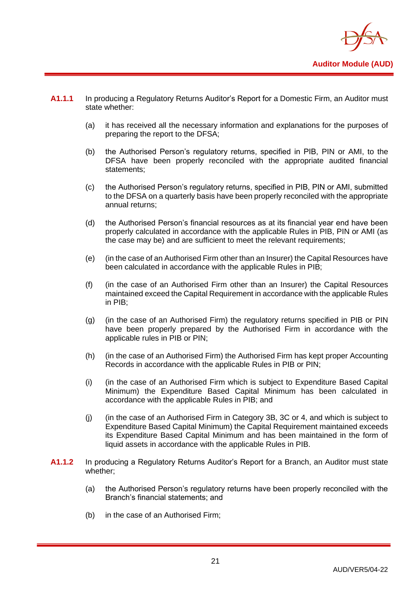

- **A1.1.1** In producing a Regulatory Returns Auditor's Report for a Domestic Firm, an Auditor must state whether:
	- (a) it has received all the necessary information and explanations for the purposes of preparing the report to the DFSA;
	- (b) the Authorised Person's regulatory returns, specified in PIB, PIN or AMI, to the DFSA have been properly reconciled with the appropriate audited financial statements;
	- (c) the Authorised Person's regulatory returns, specified in PIB, PIN or AMI, submitted to the DFSA on a quarterly basis have been properly reconciled with the appropriate annual returns;
	- (d) the Authorised Person's financial resources as at its financial year end have been properly calculated in accordance with the applicable Rules in PIB, PIN or AMI (as the case may be) and are sufficient to meet the relevant requirements;
	- (e) (in the case of an Authorised Firm other than an Insurer) the Capital Resources have been calculated in accordance with the applicable Rules in PIB;
	- (f) (in the case of an Authorised Firm other than an Insurer) the Capital Resources maintained exceed the Capital Requirement in accordance with the applicable Rules in PIB;
	- (g) (in the case of an Authorised Firm) the regulatory returns specified in PIB or PIN have been properly prepared by the Authorised Firm in accordance with the applicable rules in PIB or PIN;
	- (h) (in the case of an Authorised Firm) the Authorised Firm has kept proper Accounting Records in accordance with the applicable Rules in PIB or PIN;
	- (i) (in the case of an Authorised Firm which is subject to Expenditure Based Capital Minimum) the Expenditure Based Capital Minimum has been calculated in accordance with the applicable Rules in PIB; and
	- (j) (in the case of an Authorised Firm in Category 3B, 3C or 4, and which is subject to Expenditure Based Capital Minimum) the Capital Requirement maintained exceeds its Expenditure Based Capital Minimum and has been maintained in the form of liquid assets in accordance with the applicable Rules in PIB.
- **A1.1.2** In producing a Regulatory Returns Auditor's Report for a Branch, an Auditor must state whether;
	- (a) the Authorised Person's regulatory returns have been properly reconciled with the Branch's financial statements; and
	- (b) in the case of an Authorised Firm;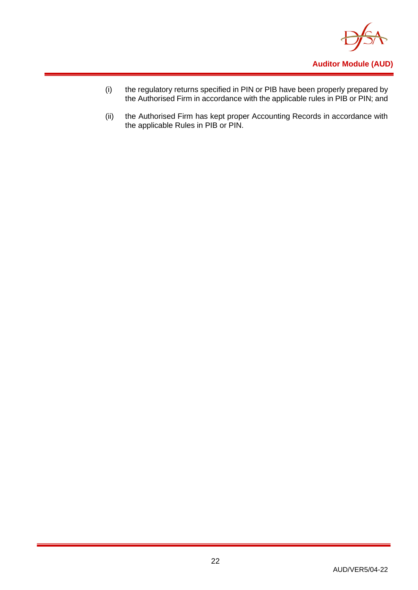

- (i) the regulatory returns specified in PIN or PIB have been properly prepared by the Authorised Firm in accordance with the applicable rules in PIB or PIN; and
- (ii) the Authorised Firm has kept proper Accounting Records in accordance with the applicable Rules in PIB or PIN.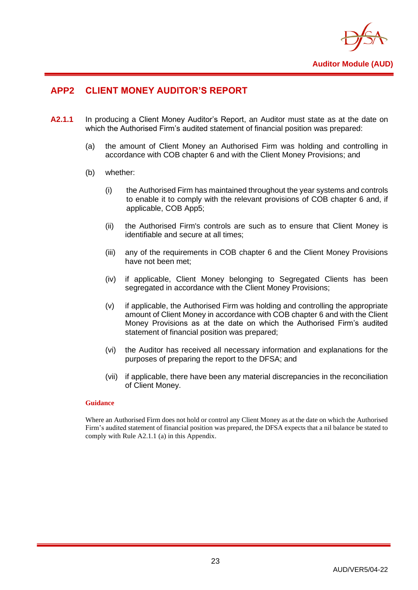

## <span id="page-25-0"></span>**APP2 CLIENT MONEY AUDITOR'S REPORT**

- **A2.1.1** In producing a Client Money Auditor's Report, an Auditor must state as at the date on which the Authorised Firm's audited statement of financial position was prepared:
	- (a) the amount of Client Money an Authorised Firm was holding and controlling in accordance with COB chapter 6 and with the Client Money Provisions; and
	- (b) whether:
		- (i) the Authorised Firm has maintained throughout the year systems and controls to enable it to comply with the relevant provisions of COB chapter 6 and, if applicable, COB App5;
		- (ii) the Authorised Firm's controls are such as to ensure that Client Money is identifiable and secure at all times;
		- (iii) any of the requirements in COB chapter 6 and the Client Money Provisions have not been met;
		- (iv) if applicable, Client Money belonging to Segregated Clients has been segregated in accordance with the Client Money Provisions;
		- (v) if applicable, the Authorised Firm was holding and controlling the appropriate amount of Client Money in accordance with COB chapter 6 and with the Client Money Provisions as at the date on which the Authorised Firm's audited statement of financial position was prepared;
		- (vi) the Auditor has received all necessary information and explanations for the purposes of preparing the report to the DFSA; and
		- (vii) if applicable, there have been any material discrepancies in the reconciliation of Client Money.

#### **Guidance**

Where an Authorised Firm does not hold or control any Client Money as at the date on which the Authorised Firm's audited statement of financial position was prepared, the DFSA expects that a nil balance be stated to comply with Rule A2.1.1 (a) in this Appendix.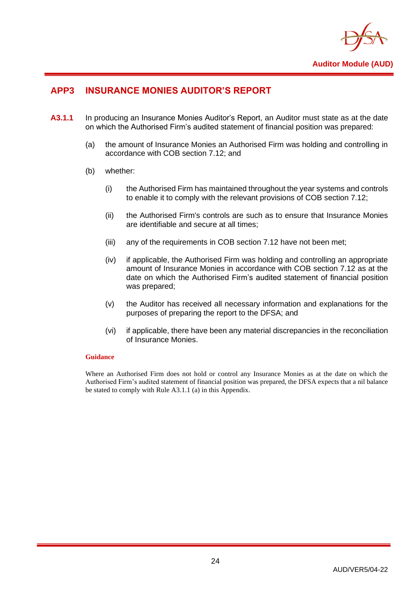

## <span id="page-26-0"></span>**APP3 INSURANCE MONIES AUDITOR'S REPORT**

- **A3.1.1** In producing an Insurance Monies Auditor's Report, an Auditor must state as at the date on which the Authorised Firm's audited statement of financial position was prepared:
	- (a) the amount of Insurance Monies an Authorised Firm was holding and controlling in accordance with COB section 7.12; and
	- (b) whether:
		- (i) the Authorised Firm has maintained throughout the year systems and controls to enable it to comply with the relevant provisions of COB section 7.12;
		- (ii) the Authorised Firm's controls are such as to ensure that Insurance Monies are identifiable and secure at all times;
		- (iii) any of the requirements in COB section 7.12 have not been met;
		- (iv) if applicable, the Authorised Firm was holding and controlling an appropriate amount of Insurance Monies in accordance with COB section 7.12 as at the date on which the Authorised Firm's audited statement of financial position was prepared;
		- (v) the Auditor has received all necessary information and explanations for the purposes of preparing the report to the DFSA; and
		- (vi) if applicable, there have been any material discrepancies in the reconciliation of Insurance Monies.

#### **Guidance**

Where an Authorised Firm does not hold or control any Insurance Monies as at the date on which the Authorised Firm's audited statement of financial position was prepared, the DFSA expects that a nil balance be stated to comply with Rule A3.1.1 (a) in this Appendix.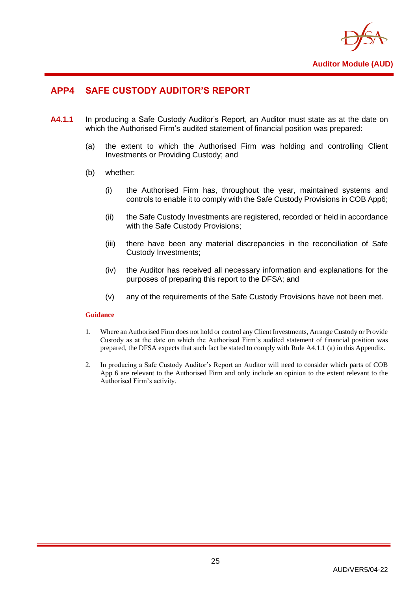

## <span id="page-27-0"></span>**APP4 SAFE CUSTODY AUDITOR'S REPORT**

- **A4.1.1** In producing a Safe Custody Auditor's Report, an Auditor must state as at the date on which the Authorised Firm's audited statement of financial position was prepared:
	- (a) the extent to which the Authorised Firm was holding and controlling Client Investments or Providing Custody; and
	- (b) whether:
		- (i) the Authorised Firm has, throughout the year, maintained systems and controls to enable it to comply with the Safe Custody Provisions in COB App6;
		- (ii) the Safe Custody Investments are registered, recorded or held in accordance with the Safe Custody Provisions;
		- (iii) there have been any material discrepancies in the reconciliation of Safe Custody Investments;
		- (iv) the Auditor has received all necessary information and explanations for the purposes of preparing this report to the DFSA; and
		- (v) any of the requirements of the Safe Custody Provisions have not been met.

#### **Guidance**

- 1. Where an Authorised Firm does not hold or control any Client Investments, Arrange Custody or Provide Custody as at the date on which the Authorised Firm's audited statement of financial position was prepared, the DFSA expects that such fact be stated to comply with Rule A4.1.1 (a) in this Appendix.
- 2. In producing a Safe Custody Auditor's Report an Auditor will need to consider which parts of COB App 6 are relevant to the Authorised Firm and only include an opinion to the extent relevant to the Authorised Firm's activity.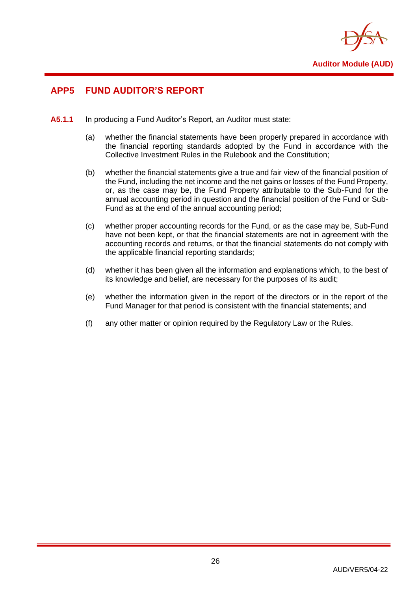

## <span id="page-28-0"></span>**APP5 FUND AUDITOR'S REPORT**

- **A5.1.1** In producing a Fund Auditor's Report, an Auditor must state:
	- (a) whether the financial statements have been properly prepared in accordance with the financial reporting standards adopted by the Fund in accordance with the Collective Investment Rules in the Rulebook and the Constitution;
	- (b) whether the financial statements give a true and fair view of the financial position of the Fund, including the net income and the net gains or losses of the Fund Property, or, as the case may be, the Fund Property attributable to the Sub-Fund for the annual accounting period in question and the financial position of the Fund or Sub-Fund as at the end of the annual accounting period;
	- (c) whether proper accounting records for the Fund, or as the case may be, Sub-Fund have not been kept, or that the financial statements are not in agreement with the accounting records and returns, or that the financial statements do not comply with the applicable financial reporting standards;
	- (d) whether it has been given all the information and explanations which, to the best of its knowledge and belief, are necessary for the purposes of its audit;
	- (e) whether the information given in the report of the directors or in the report of the Fund Manager for that period is consistent with the financial statements; and
	- (f) any other matter or opinion required by the Regulatory Law or the Rules.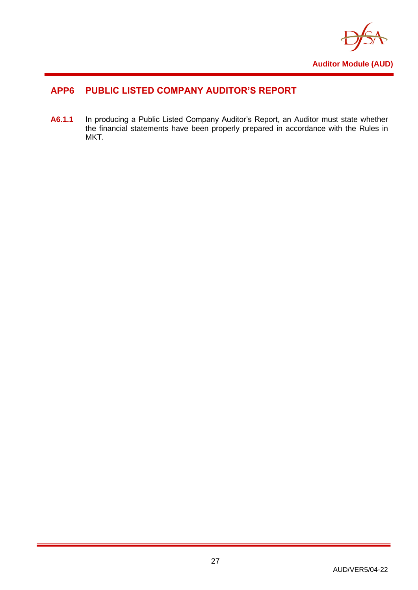

## <span id="page-29-0"></span>**APP6 PUBLIC LISTED COMPANY AUDITOR'S REPORT**

**A6.1.1** In producing a Public Listed Company Auditor's Report, an Auditor must state whether the financial statements have been properly prepared in accordance with the Rules in MKT.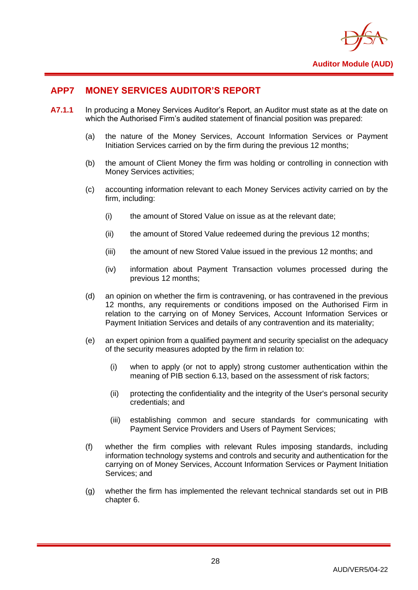

## <span id="page-30-0"></span>**APP7 MONEY SERVICES AUDITOR'S REPORT**

- **A7.1.1** In producing a Money Services Auditor's Report, an Auditor must state as at the date on which the Authorised Firm's audited statement of financial position was prepared:
	- (a) the nature of the Money Services, Account Information Services or Payment Initiation Services carried on by the firm during the previous 12 months;
	- (b) the amount of Client Money the firm was holding or controlling in connection with Money Services activities;
	- (c) accounting information relevant to each Money Services activity carried on by the firm, including:
		- (i) the amount of Stored Value on issue as at the relevant date;
		- (ii) the amount of Stored Value redeemed during the previous 12 months;
		- (iii) the amount of new Stored Value issued in the previous 12 months; and
		- (iv) information about Payment Transaction volumes processed during the previous 12 months;
	- (d) an opinion on whether the firm is contravening, or has contravened in the previous 12 months, any requirements or conditions imposed on the Authorised Firm in relation to the carrying on of Money Services, Account Information Services or Payment Initiation Services and details of any contravention and its materiality;
	- (e) an expert opinion from a qualified payment and security specialist on the adequacy of the security measures adopted by the firm in relation to:
		- (i) when to apply (or not to apply) strong customer authentication within the meaning of PIB section 6.13, based on the assessment of risk factors;
		- (ii) protecting the confidentiality and the integrity of the User's personal security credentials; and
		- (iii) establishing common and secure standards for communicating with Payment Service Providers and Users of Payment Services;
	- (f) whether the firm complies with relevant Rules imposing standards, including information technology systems and controls and security and authentication for the carrying on of Money Services, Account Information Services or Payment Initiation Services: and
	- (g) whether the firm has implemented the relevant technical standards set out in PIB chapter 6.